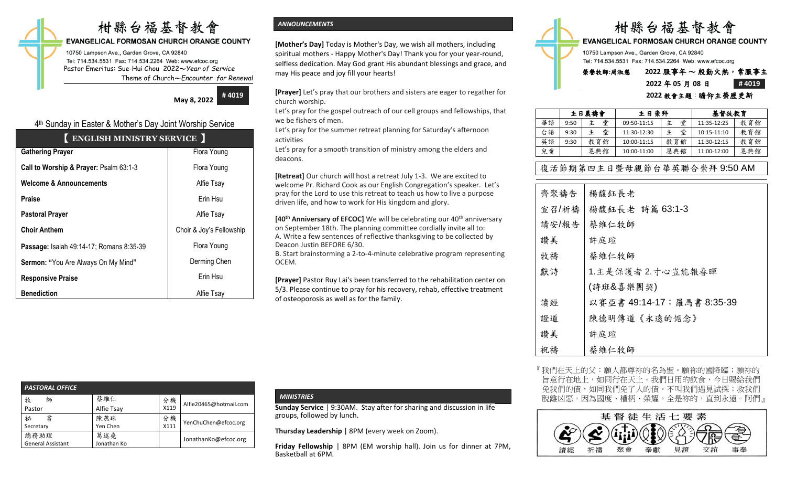# 柑縣台福基督教會

## **EVANGELICAL FORMOSAN CHURCH ORANGE COUNTY**

10750 Lampson Ave., Garden Grove, CA 92840 Tel: 714.534.5531 Fax: 714.534.2264 Web: www.efcoc.org Pastor Emeritus: Sue-Hui Chou 2022〜*Year of Service* Theme of Church〜*Encounter for Renewal*

**May 8, 2022**

**# 4019**

# 4 th Sunday in Easter & Mother's Day Joint Worship Service

| ENGLISH MINISTRY SERVICE                        |                          |  |  |  |  |
|-------------------------------------------------|--------------------------|--|--|--|--|
| <b>Gathering Prayer</b>                         | Flora Young              |  |  |  |  |
| Call to Worship & Prayer: Psalm 63:1-3          | Flora Young              |  |  |  |  |
| <b>Welcome &amp; Announcements</b>              | Alfie Tsay               |  |  |  |  |
| Praise                                          | Erin Hsu                 |  |  |  |  |
| <b>Pastoral Prayer</b>                          | Alfie Tsay               |  |  |  |  |
| <b>Choir Anthem</b>                             | Choir & Joy's Fellowship |  |  |  |  |
| <b>Passage: Isaiah 49:14-17; Romans 8:35-39</b> | Flora Young              |  |  |  |  |
| Sermon: "You Are Always On My Mind"             | Derming Chen             |  |  |  |  |
| <b>Responsive Praise</b>                        | Erin Hsu                 |  |  |  |  |
| <b>Benediction</b>                              | Alfie Tsay               |  |  |  |  |

# *ANNOUNCEMENTS*

**[Mother's Day]** Today is Mother's Day, we wish all mothers, including spiritual mothers - Happy Mother's Day! Thank you for your year-round, selfless dedication. May God grant His abundant blessings and grace, and may His peace and joy fill your hearts!

**[Prayer]** Let's pray that our brothers and sisters are eager to regather for church worship.

Let's pray for the gospel outreach of our cell groups and fellowships, that we be fishers of men.

Let's pray for the summer retreat planning for Saturday's afternoon activities

Let's pray for a smooth transition of ministry among the elders and deacons.

**[Retreat]** Our church will host a retreat July 1-3. We are excited to welcome Pr. Richard Cook as our English Congregation's speaker. Let's pray for the Lord to use this retreat to teach us how to live a purpose driven life, and how to work for His kingdom and glory.

**[40<sup>th</sup> Anniversary of EFCOC]** We will be celebrating our 40<sup>th</sup> anniversary on September 18th. The planning committee cordially invite all to: A. Write a few sentences of reflective thanksgiving to be collected by Deacon Justin BEFORE 6/30.

B. Start brainstorming a 2-to-4-minute celebrative program representing OCEM.

**[Prayer]** Pastor Ruy Lai's been transferred to the rehabilitation center on 5/3. Please continue to pray for his recovery, rehab, effective treatment of osteoporosis as well as for the family.

| <b>PASTORAL OFFICE</b>   |             |      |                        |
|--------------------------|-------------|------|------------------------|
| 牧<br>師                   | 蔡維仁         | 分機   | Alfie20465@hotmail.com |
| Pastor                   | Alfie Tsay  | X119 |                        |
| 書<br>祕                   | 陳燕珠         | 分機   | YenChuChen@efcoc.org   |
| Secretary                | Yen Chen    | X111 |                        |
| 總務助理                     | 葛述堯         |      | JonathanKo@efcoc.org   |
| <b>General Assistant</b> | Jonathan Ko |      |                        |

### *MINISTRIES*

**Sunday Service** | 9:30AM. Stay after for sharing and discussion in life groups, followed by lunch.

**Thursday Leadership** | 8PM (every week on Zoom).

**Friday Fellowship** | 8PM (EM worship hall). Join us for dinner at 7PM, Basketball at 6PM.



**EVANGELICAL FORMOSAN CHURCH ORANGE COUNTY** 

10750 Lampson Ave., Garden Grove, CA 92840 Tel: 714.534.5531 Fax: 714.534.2264 Web: www.efcoc.org

# 榮譽牧師**:**周淑慧 **2022** 服事年 〜 殷勤火熱,常服事主

# **2022** 年 **05** 月 **08** 日 **# 4019**

| 2022 教會主題:瞻仰主榮歷更新 |  |
|-------------------|--|
|                   |  |

|    | 主日晨禱會 |        | 主日崇拜        |     | 基督徒教育       |     |
|----|-------|--------|-------------|-----|-------------|-----|
| 華語 | 9:50  | 堂<br>主 | 09:50-11:15 | 堂   | 11:35-12:25 | 教育館 |
| 台語 | 9:30  | 堂<br>主 | 11:30-12:30 | 堂   | 10:15-11:10 | 教育館 |
| 英語 | 9:30  | 教育館    | 10:00-11:15 | 教育館 | 11:30-12:15 | 教育館 |
| 兒童 |       | 恩典館    | 10:00-11:00 | 恩典館 | 11:00-12:00 | 恩典館 |

# 復活節期第四主日暨母親節台華英聯合崇拜 9:50 AM

| 齊聚禱告  | 楊馥鈺長老                     |
|-------|---------------------------|
| 宣召/祈禱 | 楊馥鈺長老 詩篇 63:1-3           |
| 請安/報告 | 蔡維仁牧師                     |
| 讚美    | 許庭瑄                       |
| 牧禱    | 蔡維仁牧師                     |
| 獻詩    | 1.主是保護者2.寸心豈能報春暉          |
|       | (詩班&喜樂團契)                 |
| 讀經    | 以賽亞書 49:14-17;羅馬書 8:35-39 |
| 證道    | 陳德明傳道《永遠的惦念》              |
| 讚美    | 許庭瑄                       |
| 祝禱    | 蔡維仁牧師                     |

『我們在天上的父:願人都尊祢的名為聖。願祢的國降臨;願祢的 旨意行在地上,如同行在天上。我們日用的飲食,今日賜給我們 免我們的債,如同我們免了人的債。不叫我們遇見試探;救我們 脫離凶惡。因為國度、權柄、榮耀,全是祢的,直到永遠。阿們』